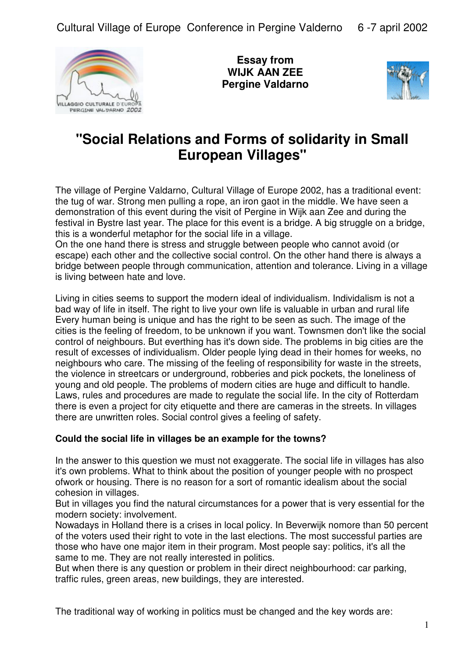

**Essay from WIJK AAN ZEE Pergine Valdarno**



# **"Social Relations and Forms of solidarity in Small European Villages"**

The village of Pergine Valdarno, Cultural Village of Europe 2002, has a traditional event: the tug of war. Strong men pulling a rope, an iron gaot in the middle. We have seen a demonstration of this event during the visit of Pergine in Wijk aan Zee and during the festival in Bystre last year. The place for this event is a bridge. A big struggle on a bridge, this is a wonderful metaphor for the social life in a village.

On the one hand there is stress and struggle between people who cannot avoid (or escape) each other and the collective social control. On the other hand there is always a bridge between people through communication, attention and tolerance. Living in a village is living between hate and love.

Living in cities seems to support the modern ideal of individualism. Individalism is not a bad way of life in itself. The right to live your own life is valuable in urban and rural life Every human being is unique and has the right to be seen as such. The image of the cities is the feeling of freedom, to be unknown if you want. Townsmen don't like the social control of neighbours. But everthing has it's down side. The problems in big cities are the result of excesses of individualism. Older people lying dead in their homes for weeks, no neighbours who care. The missing of the feeling of responsibility for waste in the streets, the violence in streetcars or underground, robberies and pick pockets, the loneliness of young and old people. The problems of modern cities are huge and difficult to handle. Laws, rules and procedures are made to regulate the social life. In the city of Rotterdam there is even a project for city etiquette and there are cameras in the streets. In villages there are unwritten roles. Social control gives a feeling of safety.

## **Could the social life in villages be an example for the towns?**

In the answer to this question we must not exaggerate. The social life in villages has also it's own problems. What to think about the position of younger people with no prospect ofwork or housing. There is no reason for a sort of romantic idealism about the social cohesion in villages.

But in villages you find the natural circumstances for a power that is very essential for the modern society: involvement.

Nowadays in Holland there is a crises in local policy. In Beverwijk nomore than 50 percent of the voters used their right to vote in the last elections. The most successful parties are those who have one major item in their program. Most people say: politics, it's all the same to me. They are not really interested in politics.

But when there is any question or problem in their direct neighbourhood: car parking, traffic rules, green areas, new buildings, they are interested.

The traditional way of working in politics must be changed and the key words are: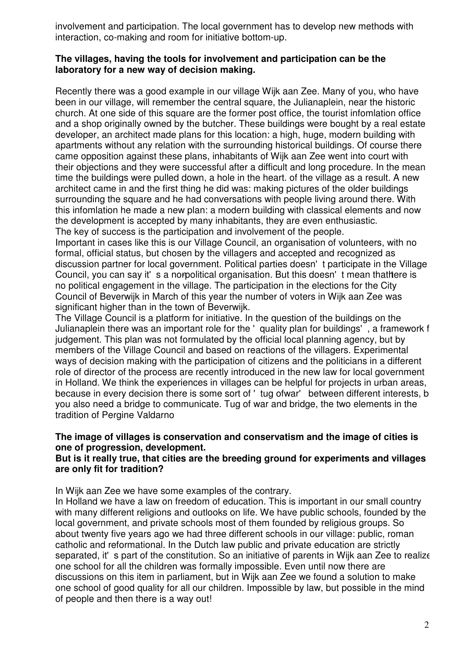involvement and participation. The local government has to develop new methods with interaction, co-making and room for initiative bottom-up.

## **The villages, having the tools for involvement and participation can be the laboratory for a new way of decision making.**

Recently there was a good example in our village Wijk aan Zee. Many of you, who have been in our village, will remember the central square, the Julianaplein, near the historic church. At one side of this square are the former post office, the tourist infomlation office and a shop originally owned by the butcher. These buildings were bought by a real estate developer, an architect made plans for this location: a high, huge, modern building with apartments without any relation with the surrounding historical buildings. Of course there came opposition against these plans, inhabitants of Wijk aan Zee went into court with their objections and they were successful after a difficult and long procedure. In the mean time the buildings were pulled down, a hole in the heart. of the village as a result. A new architect came in and the first thing he did was: making pictures of the older buildings surrounding the square and he had conversations with people living around there. With this infomlation he made a new plan: a modern building with classical elements and now the development is accepted by many inhabitants, they are even enthusiastic. The key of success is the participation and involvement of the people.

Important in cases like this is our Village Council, an organisation of volunteers, with no formal, official status, but chosen by the villagers and accepted and recognized as discussion partner for local government. Political parties doesn't participate in the Village Council, you can say it's a norpolitical organisation. But this doesn't mean that htere is no political engagement in the village. The participation in the elections for the City Council of Beverwijk in March of this year the number of voters in Wijk aan Zee was significant higher than in the town of Beverwijk.

The Village Council is a platform for initiative. In the question of the buildings on the Julianaplein there was an important role for the ' quality plan for buildings', a framework f judgement. This plan was not formulated by the official local planning agency, but by members of the Village Council and based on reactions of the villagers. Experimental ways of decision making with the participation of citizens and the politicians in a different role of director of the process are recently introduced in the new law for local government in Holland. We think the experiences in villages can be helpful for projects in urban areas, because in every decision there is some sort of 'tug ofwar' between different interests, b you also need a bridge to communicate. Tug of war and bridge, the two elements in the tradition of Pergine Valdarno

## **The image of villages is conservation and conservatism and the image of cities is one of progression, development.**

## **But is it really true, that cities are the breeding ground for experiments and villages are only fit for tradition?**

In Wijk aan Zee we have some examples of the contrary.

In Holland we have a law on freedom of education. This is important in our small country with many different religions and outlooks on life. We have public schools, founded by the local government, and private schools most of them founded by religious groups. So about twenty five years ago we had three different schools in our village: public, roman catholic and reformational. In the Dutch law public and private education are strictly separated, it's part of the constitution. So an initiative of parents in Wijk aan Zee to realize one school for all the children was formally impossible. Even until now there are discussions on this item in parliament, but in Wijk aan Zee we found a solution to make one school of good quality for all our children. Impossible by law, but possible in the mind of people and then there is a way out!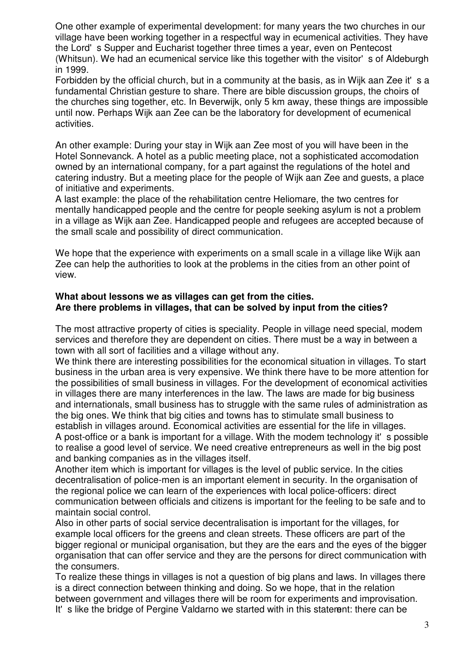One other example of experimental development: for many years the two churches in our village have been working together in a respectful way in ecumenical activities. They have the Lord's Supper and Eucharist together three times a year, even on Pentecost (Whitsun). We had an ecumenical service like this together with the visitor's of Aldeburgh in 1999.

Forbidden by the official church, but in a community at the basis, as in Wijk aan Zee it's a fundamental Christian gesture to share. There are bible discussion groups, the choirs of the churches sing together, etc. In Beverwijk, only 5 km away, these things are impossible until now. Perhaps Wijk aan Zee can be the laboratory for development of ecumenical activities.

An other example: During your stay in Wijk aan Zee most of you will have been in the Hotel Sonnevanck. A hotel as a public meeting place, not a sophisticated accomodation owned by an international company, for a part against the regulations of the hotel and catering industry. But a meeting place for the people of Wijk aan Zee and guests, a place of initiative and experiments.

A last example: the place of the rehabilitation centre Heliomare, the two centres for mentally handicapped people and the centre for people seeking asylum is not a problem in a village as Wijk aan Zee. Handicapped people and refugees are accepted because of the small scale and possibility of direct communication.

We hope that the experience with experiments on a small scale in a village like Wijk aan Zee can help the authorities to look at the problems in the cities from an other point of view.

## **What about lessons we as villages can get from the cities. Are there problems in villages, that can be solved by input from the cities?**

The most attractive property of cities is speciality. People in village need special, modem services and therefore they are dependent on cities. There must be a way in between a town with all sort of facilities and a village without any.

We think there are interesting possibilities for the economical situation in villages. To start business in the urban area is very expensive. We think there have to be more attention for the possibilities of small business in villages. For the development of economical activities in villages there are many interferences in the law. The laws are made for big business and internationals, small business has to struggle with the same rules of administration as the big ones. We think that big cities and towns has to stimulate small business to establish in villages around. Economical activities are essential for the life in villages. A post-office or a bank is important for a village. With the modem technology it's possible to realise a good level of service. We need creative entrepreneurs as well in the big post and banking companies as in the villages itself.

Another item which is important for villages is the level of public service. In the cities decentralisation of police-men is an important element in security. In the organisation of the regional police we can learn of the experiences with local police-officers: direct communication between officials and citizens is important for the feeling to be safe and to maintain social control.

Also in other parts of social service decentralisation is important for the villages, for example local officers for the greens and clean streets. These officers are part of the bigger regional or municipal organisation, but they are the ears and the eyes of the bigger organisation that can offer service and they are the persons for direct communication with the consumers.

To realize these things in villages is not a question of big plans and laws. In villages there is a direct connection between thinking and doing. So we hope, that in the relation between government and villages there will be room for experiments and improvisation. It's like the bridge of Pergine Valdarno we started with in this staterent: there can be